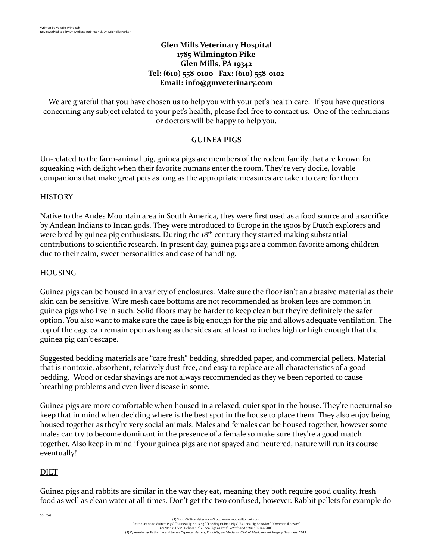### **Glen Mills Veterinary Hospital 1785 Wilmington Pike Glen Mills, PA 19342 Tel: (610) 558-0100 Fax: (610) 558-0102 Email: [info@gmveterinary.com](mailto:info@gmveterinary.com)**

We are grateful that you have chosen us to help you with your pet's health care. If you have questions concerning any subject related to your pet's health, please feel free to contact us. One of the technicians or doctors will be happy to help you.

# **GUINEA PIGS**

Un-related to the farm-animal pig, guinea pigs are members of the rodent family that are known for squeaking with delight when their favorite humans enter the room. They're very docile, lovable companions that make great pets as long as the appropriate measures are taken to care for them.

# **HISTORY**

Native to the Andes Mountain area in South America, they were first used as a food source and a sacrifice by Andean Indians to Incan gods. They were introduced to Europe in the 1500s by Dutch explorers and were bred by guinea pig enthusiasts. During the 18<sup>th</sup> century they started making substantial contributions to scientific research. In present day, guinea pigs are a common favorite among children due to their calm, sweet personalities and ease of handling.

### HOUSING

Guinea pigs can be housed in a variety of enclosures. Make sure the floor isn't an abrasive material as their skin can be sensitive. Wire mesh cage bottoms are not recommended as broken legs are common in guinea pigs who live in such. Solid floors may be harder to keep clean but they're definitely the safer option. You also want to make sure the cage is big enough for the pig and allows adequate ventilation. The top of the cage can remain open as long as the sides are at least 10 inches high or high enough that the guinea pig can't escape.

Suggested bedding materials are "care fresh" bedding, shredded paper, and commercial pellets. Material that is nontoxic, absorbent, relatively dust-free, and easy to replace are all characteristics of a good bedding. Wood or cedar shavings are not always recommended as they've been reported to cause breathing problems and even liver disease in some.

Guinea pigs are more comfortable when housed in a relaxed, quiet spot in the house. They're nocturnal so keep that in mind when deciding where is the best spot in the house to place them. They also enjoy being housed together as they're very social animals. Males and females can be housed together, however some males can try to become dominant in the presence of a female so make sure they're a good match together. Also keep in mind if your guinea pigs are not spayed and neutered, nature will run its course eventually!

# DIET

Sources:

Guinea pigs and rabbits are similar in the way they eat, meaning they both require good quality, fresh food as well as clean water at all times. Don't get the two confused, however. Rabbit pellets for example do